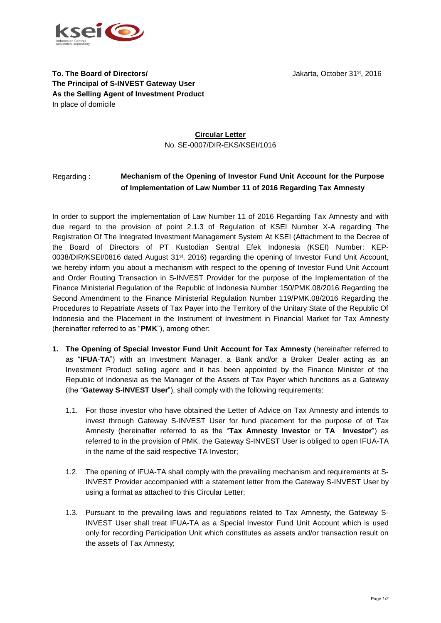



**To. The Board of Directors/ Jakarta, October 31st, 2016 The Principal of S-INVEST Gateway User As the Selling Agent of Investment Product** In place of domicile

# **Circular Letter** No. SE-0007/DIR-EKS/KSEI/1016

# Regarding : **Mechanism of the Opening of Investor Fund Unit Account for the Purpose of Implementation of Law Number 11 of 2016 Regarding Tax Amnesty**

In order to support the implementation of Law Number 11 of 2016 Regarding Tax Amnesty and with due regard to the provision of point 2.1.3 of Regulation of KSEI Number X-A regarding The Registration Of The Integrated Investment Management System At KSEI (Attachment to the Decree of the Board of Directors of PT Kustodian Sentral Efek Indonesia (KSEI) Number: KEP-0038/DIR/KSEI/0816 dated August 31<sup>st</sup>, 2016) regarding the opening of Investor Fund Unit Account, we hereby inform you about a mechanism with respect to the opening of Investor Fund Unit Account and Order Routing Transaction in S-INVEST Provider for the purpose of the Implementation of the Finance Ministerial Regulation of the Republic of Indonesia Number 150/PMK.08/2016 Regarding the Second Amendment to the Finance Ministerial Regulation Number 119/PMK.08/2016 Regarding the Procedures to Repatriate Assets of Tax Payer into the Territory of the Unitary State of the Republic Of Indonesia and the Placement in the Instrument of Investment in Financial Market for Tax Amnesty (hereinafter referred to as "**PMK**"), among other:

- **1. The Opening of Special Investor Fund Unit Account for Tax Amnesty** (hereinafter referred to as "**IFUA**-**TA**") with an Investment Manager, a Bank and/or a Broker Dealer acting as an Investment Product selling agent and it has been appointed by the Finance Minister of the Republic of Indonesia as the Manager of the Assets of Tax Payer which functions as a Gateway (the "**Gateway S-INVEST User**"), shall comply with the following requirements:
	- 1.1. For those investor who have obtained the Letter of Advice on Tax Amnesty and intends to invest through Gateway S-INVEST User for fund placement for the purpose of of Tax Amnesty (hereinafter referred to as the "**Tax Amnesty Investor** or **TA Investor**") as referred to in the provision of PMK, the Gateway S-INVEST User is obliged to open IFUA-TA in the name of the said respective TA Investor;
	- 1.2. The opening of IFUA-TA shall comply with the prevailing mechanism and requirements at S-INVEST Provider accompanied with a statement letter from the Gateway S-INVEST User by using a format as attached to this Circular Letter;
	- 1.3. Pursuant to the prevailing laws and regulations related to Tax Amnesty, the Gateway S-INVEST User shall treat IFUA-TA as a Special Investor Fund Unit Account which is used only for recording Participation Unit which constitutes as assets and/or transaction result on the assets of Tax Amnesty;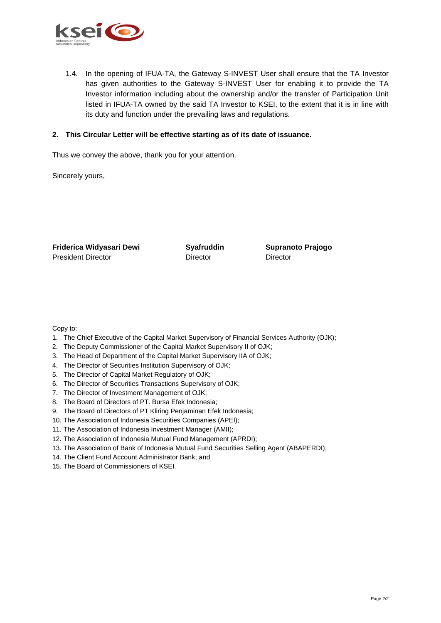

1.4. In the opening of IFUA-TA, the Gateway S-INVEST User shall ensure that the TA Investor has given authorities to the Gateway S-INVEST User for enabling it to provide the TA Investor information including about the ownership and/or the transfer of Participation Unit listed in IFUA-TA owned by the said TA Investor to KSEI, to the extent that it is in line with its duty and function under the prevailing laws and regulations.

#### **2. This Circular Letter will be effective starting as of its date of issuance.**

Thus we convey the above, thank you for your attention.

Sincerely yours,

| Friderica Widyasari Dewi  | <b>Syafruddin</b> | <b>Supranoto Prajogo</b> |
|---------------------------|-------------------|--------------------------|
| <b>President Director</b> | Director          | Director                 |

Copy to:

- 1. The Chief Executive of the Capital Market Supervisory of Financial Services Authority (OJK);
- 2. The Deputy Commissioner of the Capital Market Supervisory II of OJK;
- 3. The Head of Department of the Capital Market Supervisory IIA of OJK;
- 4. The Director of Securities Institution Supervisory of OJK;
- 5. The Director of Capital Market Regulatory of OJK;
- 6. The Director of Securities Transactions Supervisory of OJK;
- 7. The Director of Investment Management of OJK;
- 8. The Board of Directors of PT. Bursa Efek Indonesia;
- 9. The Board of Directors of PT Kliring Penjaminan Efek Indonesia;
- 10. The Association of Indonesia Securities Companies (APEI);
- 11. The Association of Indonesia Investment Manager (AMII);
- 12. The Association of Indonesia Mutual Fund Management (APRDI);
- 13. The Association of Bank of Indonesia Mutual Fund Securities Selling Agent (ABAPERDI);
- 14. The Client Fund Account Administrator Bank; and
- 15. The Board of Commissioners of KSEI.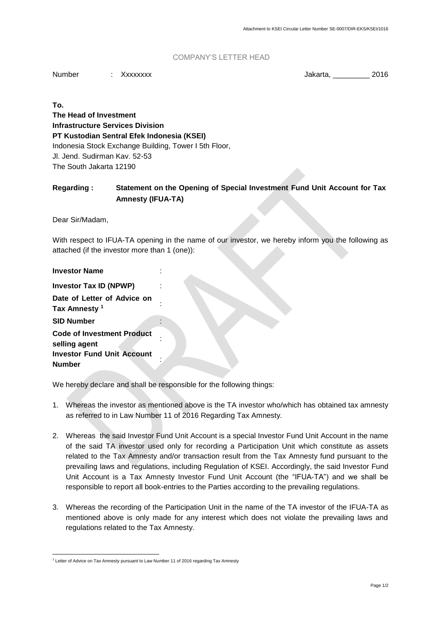### COMPANY'S LETTER HEAD

Number : Xxxxxxxx : The state of the Salar Mumber : 2016

**To. The Head of Investment Infrastructure Services Division PT Kustodian Sentral Efek Indonesia (KSEI)** Indonesia Stock Exchange Building, Tower I 5th Floor, Jl. Jend. Sudirman Kav. 52-53 The South Jakarta 12190

# **Regarding : Statement on the Opening of Special Investment Fund Unit Account for Tax Amnesty (IFUA-TA)**

Dear Sir/Madam,

With respect to IFUA-TA opening in the name of our investor, we hereby inform you the following as attached (if the investor more than 1 (one)):

We hereby declare and shall be responsible for the following things:

- 1. Whereas the investor as mentioned above is the TA investor who/which has obtained tax amnesty as referred to in Law Number 11 of 2016 Regarding Tax Amnesty.
- 2. Whereas the said Investor Fund Unit Account is a special Investor Fund Unit Account in the name of the said TA investor used only for recording a Participation Unit which constitute as assets related to the Tax Amnesty and/or transaction result from the Tax Amnesty fund pursuant to the prevailing laws and regulations, including Regulation of KSEI. Accordingly, the said Investor Fund Unit Account is a Tax Amnesty Investor Fund Unit Account (the "IFUA-TA") and we shall be responsible to report all book-entries to the Parties according to the prevailing regulations.
- 3. Whereas the recording of the Participation Unit in the name of the TA investor of the IFUA-TA as mentioned above is only made for any interest which does not violate the prevailing laws and regulations related to the Tax Amnesty.

l <sup>1</sup> Letter of Advice on Tax Amnesty pursuant to Law Number 11 of 2016 regarding Tax Amnesty